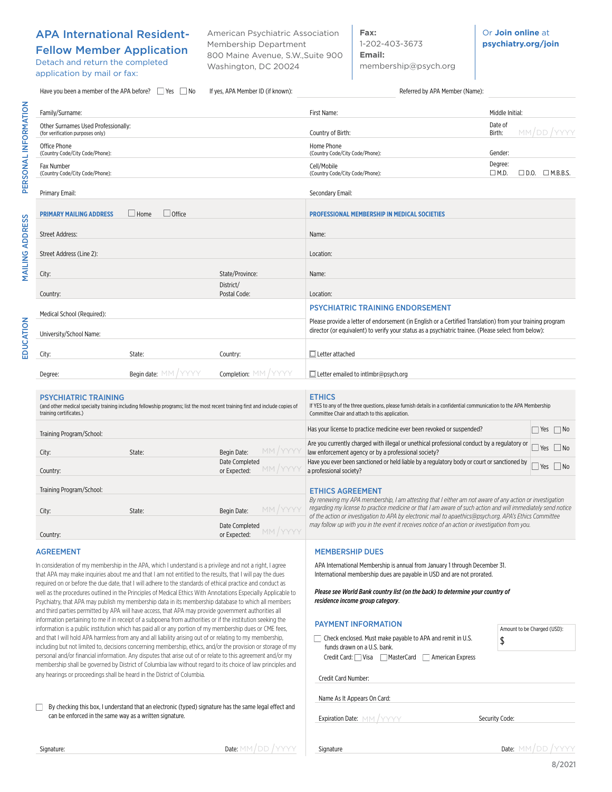## APA International Resident-

Fellow Member Application Detach and return the completed application by mail or fax:

American Psychiatric Association Membership Department 800 Maine Avenue, S.W.,Suite 900 Washington, DC 20024

**Fax:**  1-202-403-3673 **Email:** membership@psych.org Or **Join online** at **psychiatry.org/join**

| Have you been a member of the APA before?<br>If yes, APA Member ID (if known):<br>Yes No |                                                                                                                                                                                                                                                                                                                                                                                                                                            | Referred by APA Member (Name):           |                                                                                                                                                                                                                                                                                                                                    |                                                             |
|------------------------------------------------------------------------------------------|--------------------------------------------------------------------------------------------------------------------------------------------------------------------------------------------------------------------------------------------------------------------------------------------------------------------------------------------------------------------------------------------------------------------------------------------|------------------------------------------|------------------------------------------------------------------------------------------------------------------------------------------------------------------------------------------------------------------------------------------------------------------------------------------------------------------------------------|-------------------------------------------------------------|
| Family/Surname:                                                                          |                                                                                                                                                                                                                                                                                                                                                                                                                                            |                                          | First Name:                                                                                                                                                                                                                                                                                                                        | Middle Initial:                                             |
| Other Surnames Used Professionally:<br>(for verification purposes only)                  |                                                                                                                                                                                                                                                                                                                                                                                                                                            |                                          | Country of Birth:                                                                                                                                                                                                                                                                                                                  | Date of<br>MM/DD/YYYY<br>Birth:                             |
| Office Phone<br>(Country Code/City Code/Phone):                                          |                                                                                                                                                                                                                                                                                                                                                                                                                                            |                                          | Home Phone<br>(Country Code/City Code/Phone):                                                                                                                                                                                                                                                                                      | Gender:                                                     |
| Fax Number<br>(Country Code/City Code/Phone):                                            |                                                                                                                                                                                                                                                                                                                                                                                                                                            |                                          | Cell/Mobile<br>(Country Code/City Code/Phone):                                                                                                                                                                                                                                                                                     | Degree:<br>$\Box$ M.D.<br>$\square$ D.O. $\square$ M.B.B.S. |
| Primary Email:                                                                           |                                                                                                                                                                                                                                                                                                                                                                                                                                            |                                          | Secondary Email:                                                                                                                                                                                                                                                                                                                   |                                                             |
| <b>PRIMARY MAILING ADDRESS</b>                                                           | $\Box$ Home<br>$\Box$ Office                                                                                                                                                                                                                                                                                                                                                                                                               |                                          | <b>PROFESSIONAL MEMBERSHIP IN MEDICAL SOCIETIES</b>                                                                                                                                                                                                                                                                                |                                                             |
| <b>Street Address:</b>                                                                   |                                                                                                                                                                                                                                                                                                                                                                                                                                            |                                          | Name:                                                                                                                                                                                                                                                                                                                              |                                                             |
| Street Address (Line 2):                                                                 |                                                                                                                                                                                                                                                                                                                                                                                                                                            |                                          | Location:                                                                                                                                                                                                                                                                                                                          |                                                             |
| City:                                                                                    |                                                                                                                                                                                                                                                                                                                                                                                                                                            | State/Province:                          | Name:                                                                                                                                                                                                                                                                                                                              |                                                             |
| Country:                                                                                 |                                                                                                                                                                                                                                                                                                                                                                                                                                            | District/<br>Postal Code:                | Location:                                                                                                                                                                                                                                                                                                                          |                                                             |
|                                                                                          |                                                                                                                                                                                                                                                                                                                                                                                                                                            |                                          | <b>PSYCHIATRIC TRAINING ENDORSEMENT</b>                                                                                                                                                                                                                                                                                            |                                                             |
| Medical School (Required):<br>University/School Name:                                    |                                                                                                                                                                                                                                                                                                                                                                                                                                            |                                          | Please provide a letter of endorsement (in English or a Certified Translation) from your training program<br>director (or equivalent) to verify your status as a psychiatric trainee. (Please select from below):                                                                                                                  |                                                             |
| City:                                                                                    | State:                                                                                                                                                                                                                                                                                                                                                                                                                                     | Country:                                 | $\Box$ Letter attached                                                                                                                                                                                                                                                                                                             |                                                             |
| Degree:                                                                                  | <b>Begin date:</b> MM / YYYY                                                                                                                                                                                                                                                                                                                                                                                                               | Completion: MM / YYYY                    | $\Box$ Letter emailed to intlmbr@psych.org                                                                                                                                                                                                                                                                                         |                                                             |
| <b>PSYCHIATRIC TRAINING</b><br>training certificates.)                                   | (and other medical specialty training including fellowship programs; list the most recent training first and include copies of                                                                                                                                                                                                                                                                                                             |                                          | <b>ETHICS</b><br>If YES to any of the three questions, please furnish details in a confidential communication to the APA Membership<br>Committee Chair and attach to this application.                                                                                                                                             |                                                             |
| Training Program/School:                                                                 |                                                                                                                                                                                                                                                                                                                                                                                                                                            |                                          | Has your license to practice medicine ever been revoked or suspended?                                                                                                                                                                                                                                                              | $\Box$ Yes $\Box$ No                                        |
| City:                                                                                    | State:                                                                                                                                                                                                                                                                                                                                                                                                                                     | MM/YYYY<br>Begin Date:<br>Date Completed | Are you currently charged with illegal or unethical professional conduct by a regulatory or<br>law enforcement agency or by a professional society?<br>Have you ever been sanctioned or held liable by a regulatory body or court or sanctioned by                                                                                 | $\Box$ Yes $\Box$ No                                        |
| Country:                                                                                 |                                                                                                                                                                                                                                                                                                                                                                                                                                            | MM / YYY<br>or Expected:                 | a professional society?                                                                                                                                                                                                                                                                                                            | $\Box$ Yes $\Box$ No                                        |
| Training Program/School:                                                                 |                                                                                                                                                                                                                                                                                                                                                                                                                                            |                                          | <b>ETHICS AGREEMENT</b>                                                                                                                                                                                                                                                                                                            |                                                             |
| City:                                                                                    | State:                                                                                                                                                                                                                                                                                                                                                                                                                                     | MM/YYYY<br>Begin Date:                   | By renewing my APA membership, I am attesting that I either am not aware of any action or investigation<br>regarding my license to practice medicine or that I am aware of such action and will immediately send notice<br>of the action or investigation to APA by electronic mail to apaethics@psych.org. APA's Ethics Committee |                                                             |
| Country:                                                                                 |                                                                                                                                                                                                                                                                                                                                                                                                                                            | Date Completed<br>or Expected:           | may follow up with you in the event it receives notice of an action or investigation from you.                                                                                                                                                                                                                                     |                                                             |
| <b>AGREEMENT</b>                                                                         |                                                                                                                                                                                                                                                                                                                                                                                                                                            |                                          | <b>MEMBERSHIP DUES</b>                                                                                                                                                                                                                                                                                                             |                                                             |
|                                                                                          | In consideration of my membership in the APA, which I understand is a privilege and not a right, I agree<br>that APA may make inquiries about me and that I am not entitled to the results, that I will pay the dues                                                                                                                                                                                                                       |                                          | APA International Membership is annual from January 1 through December 31.<br>International membership dues are payable in USD and are not prorated.                                                                                                                                                                               |                                                             |
|                                                                                          | required on or before the due date, that I will adhere to the standards of ethical practice and conduct as<br>well as the procedures outlined in the Principles of Medical Ethics With Annotations Especially Applicable to<br>Psychiatry, that APA may publish my membership data in its membership database to which all members<br>and third parties permitted by APA will have access, that APA may provide government authorities all |                                          | Please see World Bank country list (on the back) to determine your country of<br>residence income group category.                                                                                                                                                                                                                  |                                                             |
|                                                                                          | information pertaining to me if in receipt of a subpoena from authorities or if the institution seeking the<br>information is a public institution which has paid all or any portion of my membership dues or CME fees,                                                                                                                                                                                                                    |                                          | <b>PAYMENT INFORMATION</b>                                                                                                                                                                                                                                                                                                         | Amount to be Charged (USD):                                 |
|                                                                                          | and that I will hold APA harmless from any and all liability arising out of or relating to my membership,<br>including but not limited to, decisions concerning membership, ethics, and/or the provision or storage of my                                                                                                                                                                                                                  |                                          | □ Check enclosed. Must make payable to APA and remit in U.S.<br>funds drawn on a U.S. bank.                                                                                                                                                                                                                                        | \$                                                          |
|                                                                                          | personal and/or financial information. Any disputes that arise out of or relate to this agreement and/or my<br>membership shall be governed by District of Columbia law without regard to its choice of law principles and                                                                                                                                                                                                                 |                                          | Credit Card: Visa MasterCard<br>  American Express                                                                                                                                                                                                                                                                                 |                                                             |
|                                                                                          | any hearings or proceedings shall be heard in the District of Columbia.                                                                                                                                                                                                                                                                                                                                                                    |                                          | Credit Card Number                                                                                                                                                                                                                                                                                                                 |                                                             |

By checking this box, I understand that an electronic (typed) signature has the same legal effect and can be enforced in the same way as a written signature.

Signature:  $\blacksquare$ 

Name As It Appears On Card:

Credit Card Number:

Expiration Date:  $M/M / YYYY$  Security Code:

Signature

Date: MM/DD/YYYY